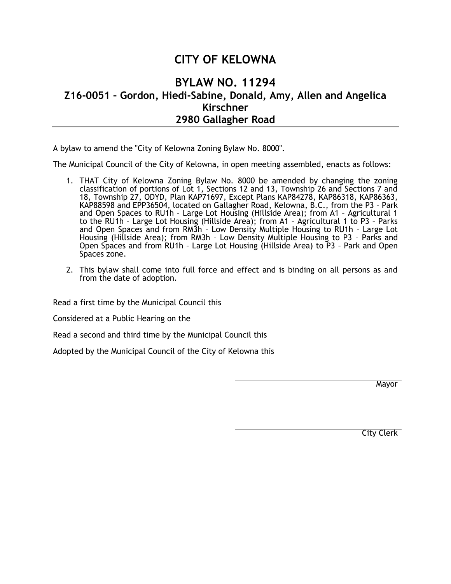## **CITY OF KELOWNA**

## **BYLAW NO. 11294 Z16-0051 – Gordon, Hiedi-Sabine, Donald, Amy, Allen and Angelica Kirschner 2980 Gallagher Road**

A bylaw to amend the "City of Kelowna Zoning Bylaw No. 8000".

The Municipal Council of the City of Kelowna, in open meeting assembled, enacts as follows:

- 1. THAT City of Kelowna Zoning Bylaw No. 8000 be amended by changing the zoning classification of portions of Lot 1, Sections 12 and 13, Township 26 and Sections 7 and 18, Township 27, ODYD, Plan KAP71697, Except Plans KAP84278, KAP86318, KAP86363, KAP88598 and EPP36504, located on Gallagher Road, Kelowna, B.C., from the P3 - Park and Open Spaces to RU1h – Large Lot Housing (Hillside Area); from A1 – Agricultural 1 to the RU1h – Large Lot Housing (Hillside Area); from A1 – Agricultural 1 to P3 – Parks and Open Spaces and from RM3h – Low Density Multiple Housing to RU1h – Large Lot Housing (Hillside Area); from RM3h – Low Density Multiple Housing to P3 – Parks and Open Spaces and from RU1h – Large Lot Housing (Hillside Area) to P3 – Park and Open Spaces zone.
- 2. This bylaw shall come into full force and effect and is binding on all persons as and from the date of adoption.

Read a first time by the Municipal Council this

Considered at a Public Hearing on the

Read a second and third time by the Municipal Council this

Adopted by the Municipal Council of the City of Kelowna this

**Mayor** 

City Clerk